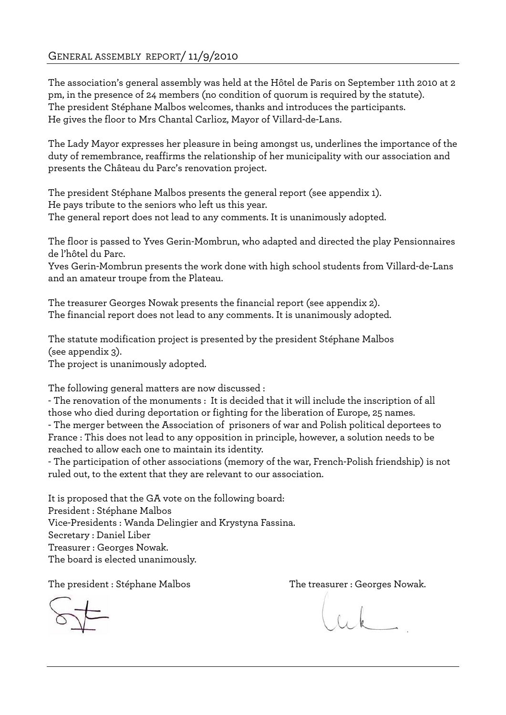# GENERAL ASSEMBLY REPORT/ 11/9/2010

The association's general assembly was held at the Hôtel de Paris on September 11th 2010 at 2 pm, in the presence of 24 members (no condition of quorum is required by the statute). The president Stéphane Malbos welcomes, thanks and introduces the participants. He gives the floor to Mrs Chantal Carlioz, Mayor of Villard-de-Lans.

The Lady Mayor expresses her pleasure in being amongst us, underlines the importance of the duty of remembrance, reaffirms the relationship of her municipality with our association and presents the Château du Parc's renovation project.

The president Stéphane Malbos presents the general report (see appendix 1). He pays tribute to the seniors who left us this year. The general report does not lead to any comments. It is unanimously adopted.

The floor is passed to Yves Gerin-Mombrun, who adapted and directed the play Pensionnaires de l'hôtel du Parc.

Yves Gerin-Mombrun presents the work done with high school students from Villard-de-Lans and an amateur troupe from the Plateau.

The treasurer Georges Nowak presents the financial report (see appendix 2). The financial report does not lead to any comments. It is unanimously adopted.

The statute modification project is presented by the president Stéphane Malbos (see appendix 3).

The project is unanimously adopted.

The following general matters are now discussed :

- The renovation of the monuments : It is decided that it will include the inscription of all those who died during deportation or fighting for the liberation of Europe, 25 names.

- The merger between the Association of prisoners of war and Polish political deportees to France : This does not lead to any opposition in principle, however, a solution needs to be reached to allow each one to maintain its identity.

- The participation of other associations (memory of the war, French-Polish friendship) is not ruled out, to the extent that they are relevant to our association.

It is proposed that the GA vote on the following board: President : Stéphane Malbos Vice-Presidents : Wanda Delingier and Krystyna Fassina. Secretary : Daniel Liber Treasurer : Georges Nowak. The board is elected unanimously.

The president : Stéphane Malbos The treasurer : Georges Nowak.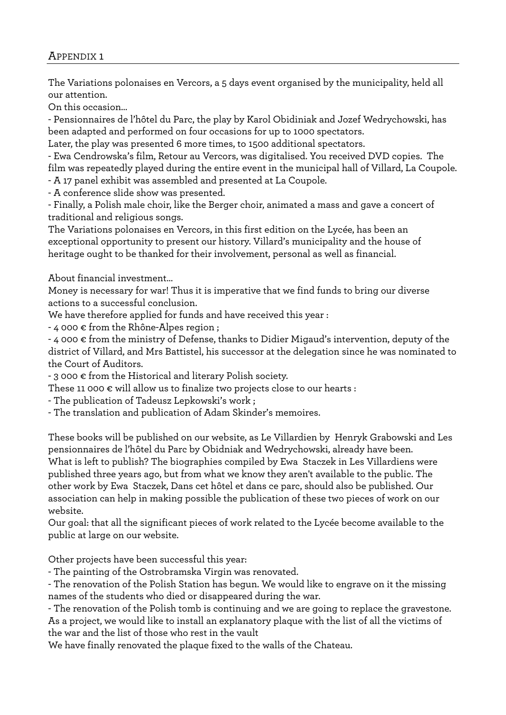# APPENDIX 1

The Variations polonaises en Vercors, a 5 days event organised by the municipality, held all our attention.

On this occasion…

- Pensionnaires de l'hôtel du Parc, the play by Karol Obidiniak and Jozef Wedrychowski, has been adapted and performed on four occasions for up to 1000 spectators.

Later, the play was presented 6 more times, to 1500 additional spectators.

- Ewa Cendrowska's film, Retour au Vercors, was digitalised. You received DVD copies. The film was repeatedly played during the entire event in the municipal hall of Villard, La Coupole.

- A 17 panel exhibit was assembled and presented at La Coupole.

- A conference slide show was presented.

- Finally, a Polish male choir, like the Berger choir, animated a mass and gave a concert of traditional and religious songs.

The Variations polonaises en Vercors, in this first edition on the Lycée, has been an exceptional opportunity to present our history. Villard's municipality and the house of heritage ought to be thanked for their involvement, personal as well as financial.

About financial investment…

Money is necessary for war! Thus it is imperative that we find funds to bring our diverse actions to a successful conclusion.

We have therefore applied for funds and have received this year :

 $-$  4 000  $\epsilon$  from the Rhône-Alpes region;

- 4 000 € from the ministry of Defense, thanks to Didier Migaud's intervention, deputy of the district of Villard, and Mrs Battistel, his successor at the delegation since he was nominated to the Court of Auditors.

- 3 000 € from the Historical and literary Polish society.

These 11 000  $\epsilon$  will allow us to finalize two projects close to our hearts :

- The publication of Tadeusz Lepkowski's work ;

- The translation and publication of Adam Skinder's memoires.

These books will be published on our website, as Le Villardien by Henryk Grabowski and Les pensionnaires de l'hôtel du Parc by Obidniak and Wedrychowski, already have been. What is left to publish? The biographies compiled by Ewa Staczek in Les Villardiens were published three years ago, but from what we know they aren't available to the public. The other work by Ewa Staczek, Dans cet hôtel et dans ce parc, should also be published. Our association can help in making possible the publication of these two pieces of work on our website.

Our goal: that all the significant pieces of work related to the Lycée become available to the public at large on our website.

Other projects have been successful this year:

- The painting of the Ostrobramska Virgin was renovated.

- The renovation of the Polish Station has begun. We would like to engrave on it the missing names of the students who died or disappeared during the war.

- The renovation of the Polish tomb is continuing and we are going to replace the gravestone. As a project, we would like to install an explanatory plaque with the list of all the victims of the war and the list of those who rest in the vault

We have finally renovated the plaque fixed to the walls of the Chateau.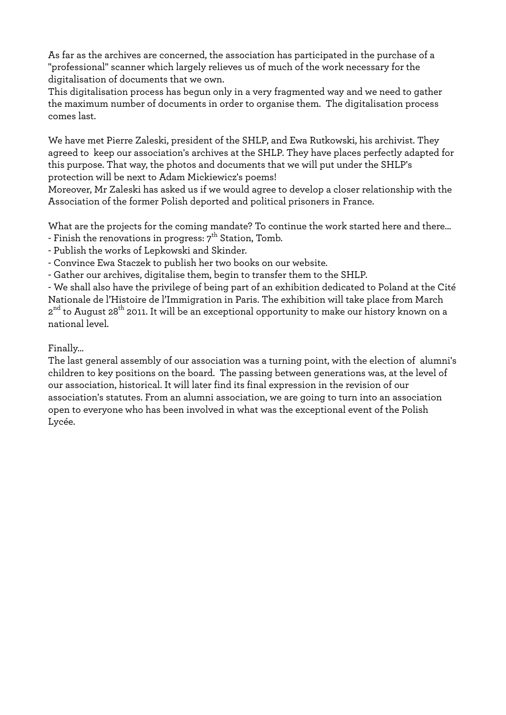As far as the archives are concerned, the association has participated in the purchase of a "professional" scanner which largely relieves us of much of the work necessary for the digitalisation of documents that we own.

This digitalisation process has begun only in a very fragmented way and we need to gather the maximum number of documents in order to organise them. The digitalisation process comes last.

We have met Pierre Zaleski, president of the SHLP, and Ewa Rutkowski, his archivist. They agreed to keep our association's archives at the SHLP. They have places perfectly adapted for this purpose. That way, the photos and documents that we will put under the SHLP's protection will be next to Adam Mickiewicz's poems!

Moreover, Mr Zaleski has asked us if we would agree to develop a closer relationship with the Association of the former Polish deported and political prisoners in France.

What are the projects for the coming mandate? To continue the work started here and there...

- Finish the renovations in progress:  $7<sup>th</sup>$  Station, Tomb.
- Publish the works of Lepkowski and Skinder.

- Convince Ewa Staczek to publish her two books on our website.

- Gather our archives, digitalise them, begin to transfer them to the SHLP.

- We shall also have the privilege of being part of an exhibition dedicated to Poland at the Cité Nationale de l'Histoire de l'Immigration in Paris. The exhibition will take place from March  $2<sup>nd</sup>$  to August 28<sup>th</sup> 2011. It will be an exceptional opportunity to make our history known on a national level.

# Finally...

The last general assembly of our association was a turning point, with the election of alumni's children to key positions on the board. The passing between generations was, at the level of our association, historical. It will later find its final expression in the revision of our association's statutes. From an alumni association, we are going to turn into an association open to everyone who has been involved in what was the exceptional event of the Polish Lycée.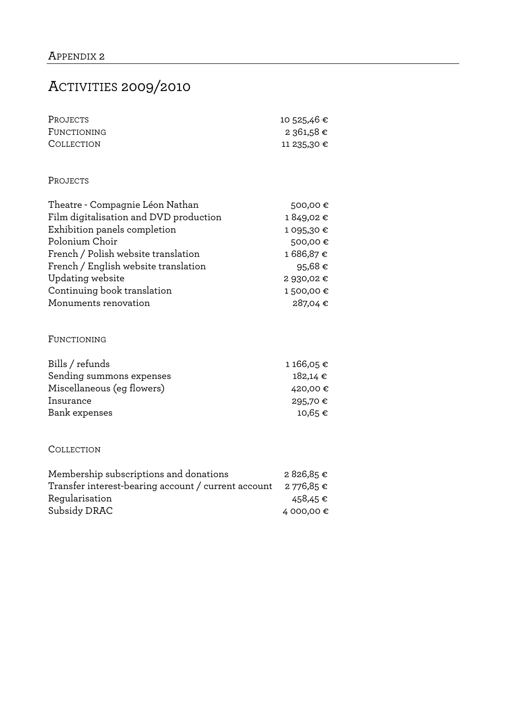# ACTIVITIES 2009/2010

| Projects    | 10 525,46 € |
|-------------|-------------|
| FUNCTIONING | 2 361,58 €  |
| COLLECTION  | 11 235,30 € |

#### PROJECTS

| Theatre - Compagnie Léon Nathan        | 500,00€    |
|----------------------------------------|------------|
| Film digitalisation and DVD production | 1849,02€   |
| Exhibition panels completion           | 1 095,30 € |
| Polonium Choir                         | 500,00€    |
| French / Polish website translation    | 1686,87€   |
| French / English website translation   | 95,68€     |
| <b>Updating website</b>                | 2 930,02 € |
| Continuing book translation            | 1500,00€   |
| Monuments renovation                   | 287,04€    |

#### FUNCTIONING

| Bills / refunds            | 1 166,05 €   |
|----------------------------|--------------|
| Sending summons expenses   | $182,14 \in$ |
| Miscellaneous (eg flowers) | 420,00 €     |
| Insurance                  | 295,70 €     |
| Bank expenses              | 10,65 €      |
|                            |              |

#### COLLECTION

| Membership subscriptions and donations              | 2826,85€   |
|-----------------------------------------------------|------------|
| Transfer interest-bearing account / current account | 2 776,85 € |
| Regularisation                                      | 458,45 €   |
| Subsidy DRAC                                        | 4 000,00 € |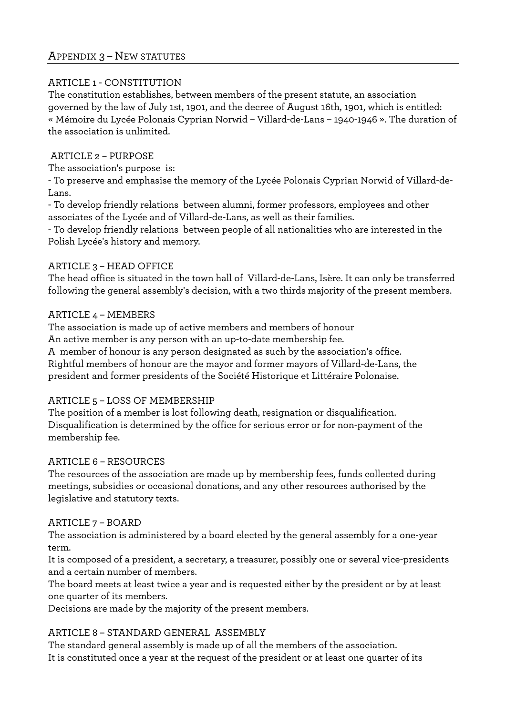# APPENDIX 3 – NEW STATUTES

#### ARTICLE 1 - CONSTITUTION

The constitution establishes, between members of the present statute, an association governed by the law of July 1st, 1901, and the decree of August 16th, 1901, which is entitled: « Mémoire du Lycée Polonais Cyprian Norwid – Villard-de-Lans – 1940-1946 ». The duration of the association is unlimited.

#### ARTICLE 2 – PURPOSE

The association's purpose is:

- To preserve and emphasise the memory of the Lycée Polonais Cyprian Norwid of Villard-de-Lans.

- To develop friendly relations between alumni, former professors, employees and other associates of the Lycée and of Villard-de-Lans, as well as their families.

- To develop friendly relations between people of all nationalities who are interested in the Polish Lycée's history and memory.

## ARTICLE 3 – HEAD OFFICE

The head office is situated in the town hall of Villard-de-Lans, Isère. It can only be transferred following the general assembly's decision, with a two thirds majority of the present members.

## ARTICLE 4 – MEMBERS

The association is made up of active members and members of honour An active member is any person with an up-to-date membership fee. A member of honour is any person designated as such by the association's office. Rightful members of honour are the mayor and former mayors of Villard-de-Lans, the president and former presidents of the Société Historique et Littéraire Polonaise.

# ARTICLE 5 – LOSS OF MEMBERSHIP

The position of a member is lost following death, resignation or disqualification. Disqualification is determined by the office for serious error or for non-payment of the membership fee.

#### ARTICLE 6 – RESOURCES

The resources of the association are made up by membership fees, funds collected during meetings, subsidies or occasional donations, and any other resources authorised by the legislative and statutory texts.

# ARTICLE 7 – BOARD

The association is administered by a board elected by the general assembly for a one-year term.

It is composed of a president, a secretary, a treasurer, possibly one or several vice-presidents and a certain number of members.

The board meets at least twice a year and is requested either by the president or by at least one quarter of its members.

Decisions are made by the majority of the present members.

# ARTICLE 8 – STANDARD GENERAL ASSEMBLY

The standard general assembly is made up of all the members of the association. It is constituted once a year at the request of the president or at least one quarter of its